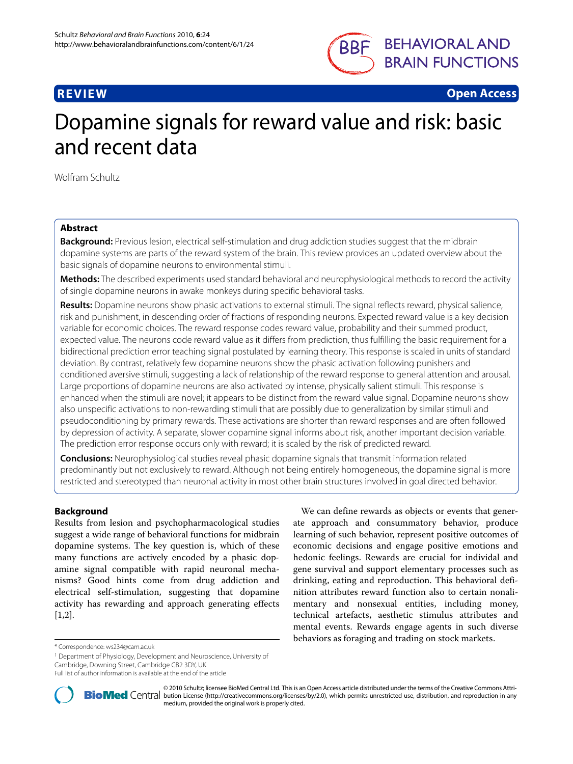

We can define rewards as objects or events that generate approach and consummatory behavior, produce learning of such behavior, represent positive outcomes of economic decisions and engage positive emotions and hedonic feelings. Rewards are crucial for individal and gene survival and support elementary processes such as drinking, eating and reproduction. This behavioral defi-

**REVIEW Open Access**

# Dopamine signals for reward value and risk: basic and recent data

Wolfram Schultz

# **Abstract**

**Background:** Previous lesion, electrical self-stimulation and drug addiction studies suggest that the midbrain dopamine systems are parts of the reward system of the brain. This review provides an updated overview about the basic signals of dopamine neurons to environmental stimuli.

**Methods:** The described experiments used standard behavioral and neurophysiological methods to record the activity of single dopamine neurons in awake monkeys during specific behavioral tasks.

**Results:** Dopamine neurons show phasic activations to external stimuli. The signal reflects reward, physical salience, risk and punishment, in descending order of fractions of responding neurons. Expected reward value is a key decision variable for economic choices. The reward response codes reward value, probability and their summed product, expected value. The neurons code reward value as it differs from prediction, thus fulfilling the basic requirement for a bidirectional prediction error teaching signal postulated by learning theory. This response is scaled in units of standard deviation. By contrast, relatively few dopamine neurons show the phasic activation following punishers and conditioned aversive stimuli, suggesting a lack of relationship of the reward response to general attention and arousal. Large proportions of dopamine neurons are also activated by intense, physically salient stimuli. This response is enhanced when the stimuli are novel; it appears to be distinct from the reward value signal. Dopamine neurons show also unspecific activations to non-rewarding stimuli that are possibly due to generalization by similar stimuli and pseudoconditioning by primary rewards. These activations are shorter than reward responses and are often followed by depression of activity. A separate, slower dopamine signal informs about risk, another important decision variable. The prediction error response occurs only with reward; it is scaled by the risk of predicted reward.

**Conclusions:** Neurophysiological studies reveal phasic dopamine signals that transmit information related predominantly but not exclusively to reward. Although not being entirely homogeneous, the dopamine signal is more restricted and stereotyped than neuronal activity in most other brain structures involved in goal directed behavior.

# **Background**

Results from lesion and psychopharmacological studies suggest a wide range of behavioral functions for midbrain dopamine systems. The key question is, which of these many functions are actively encoded by a phasic dopamine signal compatible with rapid neuronal mechanisms? Good hints come from drug addiction and electrical self-stimulation, suggesting that dopamine activity has rewarding and approach generating effects [[1,](#page-7-0)[2\]](#page-7-1).

nition attributes reward function also to certain nonalimentary and nonsexual entities, including money, technical artefacts, aesthetic stimulus attributes and mental events. Rewards engage agents in such diverse behaviors as foraging and trading on stock markets.

Full list of author information is available at the end of the article



© 2010 Schultz; licensee [BioMed](http://www.biomedcentral.com/) Central Ltd. This is an Open Access article distributed under the terms of the Creative Commons Attributed (2010 Schultz; licensee BioMed Central Ltd. This is an Open Access article distribu medium, provided the original work is properly cited.

<sup>\*</sup> Correspondence: ws234@cam.ac.uk

<sup>1</sup> Department of Physiology, Development and Neuroscience, University of Cambridge, Downing Street, Cambridge CB2 3DY, UK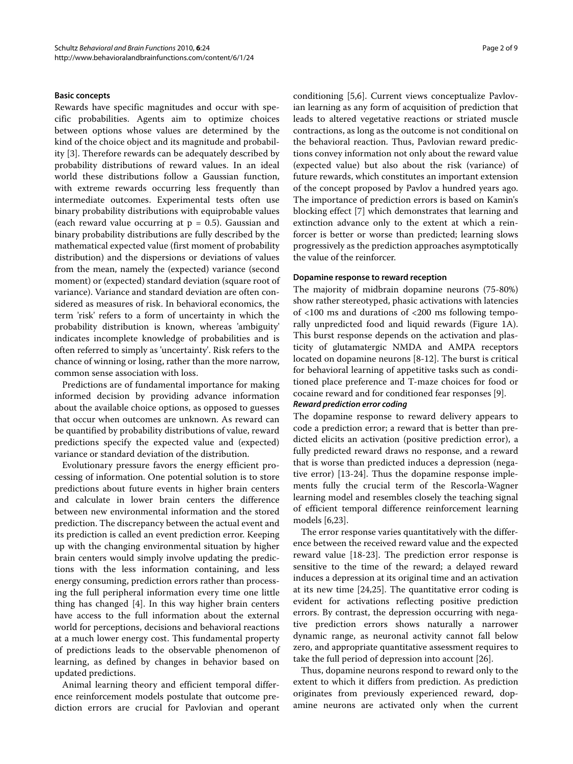#### **Basic concepts**

Rewards have specific magnitudes and occur with specific probabilities. Agents aim to optimize choices between options whose values are determined by the kind of the choice object and its magnitude and probability [[3\]](#page-7-2). Therefore rewards can be adequately described by probability distributions of reward values. In an ideal world these distributions follow a Gaussian function, with extreme rewards occurring less frequently than intermediate outcomes. Experimental tests often use binary probability distributions with equiprobable values (each reward value occurring at  $p = 0.5$ ). Gaussian and binary probability distributions are fully described by the mathematical expected value (first moment of probability distribution) and the dispersions or deviations of values from the mean, namely the (expected) variance (second moment) or (expected) standard deviation (square root of variance). Variance and standard deviation are often considered as measures of risk. In behavioral economics, the term 'risk' refers to a form of uncertainty in which the probability distribution is known, whereas 'ambiguity' indicates incomplete knowledge of probabilities and is often referred to simply as 'uncertainty'. Risk refers to the chance of winning or losing, rather than the more narrow, common sense association with loss.

Predictions are of fundamental importance for making informed decision by providing advance information about the available choice options, as opposed to guesses that occur when outcomes are unknown. As reward can be quantified by probability distributions of value, reward predictions specify the expected value and (expected) variance or standard deviation of the distribution.

Evolutionary pressure favors the energy efficient processing of information. One potential solution is to store predictions about future events in higher brain centers and calculate in lower brain centers the difference between new environmental information and the stored prediction. The discrepancy between the actual event and its prediction is called an event prediction error. Keeping up with the changing environmental situation by higher brain centers would simply involve updating the predictions with the less information containing, and less energy consuming, prediction errors rather than processing the full peripheral information every time one little thing has changed [[4\]](#page-7-3). In this way higher brain centers have access to the full information about the external world for perceptions, decisions and behavioral reactions at a much lower energy cost. This fundamental property of predictions leads to the observable phenomenon of learning, as defined by changes in behavior based on updated predictions.

Animal learning theory and efficient temporal difference reinforcement models postulate that outcome prediction errors are crucial for Pavlovian and operant conditioning [[5,](#page-7-4)[6\]](#page-7-5). Current views conceptualize Pavlovian learning as any form of acquisition of prediction that leads to altered vegetative reactions or striated muscle contractions, as long as the outcome is not conditional on the behavioral reaction. Thus, Pavlovian reward predictions convey information not only about the reward value (expected value) but also about the risk (variance) of future rewards, which constitutes an important extension of the concept proposed by Pavlov a hundred years ago. The importance of prediction errors is based on Kamin's blocking effect [\[7](#page-7-6)] which demonstrates that learning and extinction advance only to the extent at which a reinforcer is better or worse than predicted; learning slows progressively as the prediction approaches asymptotically the value of the reinforcer.

#### **Dopamine response to reward reception**

The majority of midbrain dopamine neurons (75-80%) show rather stereotyped, phasic activations with latencies of <100 ms and durations of <200 ms following temporally unpredicted food and liquid rewards (Figure [1](#page-2-0)A). This burst response depends on the activation and plasticity of glutamatergic NMDA and AMPA receptors located on dopamine neurons [[8](#page-7-7)-[12\]](#page-7-8). The burst is critical for behavioral learning of appetitive tasks such as conditioned place preference and T-maze choices for food or cocaine reward and for conditioned fear responses [[9\]](#page-7-9).

# **Reward prediction error coding**

The dopamine response to reward delivery appears to code a prediction error; a reward that is better than predicted elicits an activation (positive prediction error), a fully predicted reward draws no response, and a reward that is worse than predicted induces a depression (negative error) [\[13-](#page-7-10)[24](#page-7-11)]. Thus the dopamine response implements fully the crucial term of the Rescorla-Wagner learning model and resembles closely the teaching signal of efficient temporal difference reinforcement learning models [[6,](#page-7-5)[23\]](#page-7-12).

The error response varies quantitatively with the difference between the received reward value and the expected reward value [[18](#page-7-13)[-23\]](#page-7-12). The prediction error response is sensitive to the time of the reward; a delayed reward induces a depression at its original time and an activation at its new time [\[24](#page-7-11)[,25](#page-7-14)]. The quantitative error coding is evident for activations reflecting positive prediction errors. By contrast, the depression occurring with negative prediction errors shows naturally a narrower dynamic range, as neuronal activity cannot fall below zero, and appropriate quantitative assessment requires to take the full period of depression into account [[26](#page-7-15)].

Thus, dopamine neurons respond to reward only to the extent to which it differs from prediction. As prediction originates from previously experienced reward, dopamine neurons are activated only when the current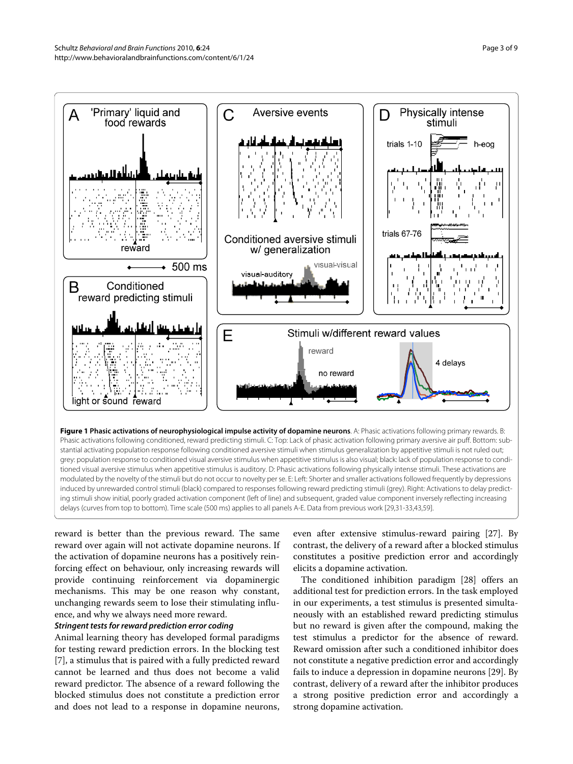<span id="page-2-0"></span>

**Figure 1 Phasic activations of neurophysiological impulse activity of dopamine neurons**. A: Phasic activations following primary rewards. B: Phasic activations following conditioned, reward predicting stimuli. C: Top: Lack of phasic activation following primary aversive air puff. Bottom: substantial activating population response following conditioned aversive stimuli when stimulus generalization by appetitive stimuli is not ruled out; grey: population response to conditioned visual aversive stimulus when appetitive stimulus is also visual; black: lack of population response to conditioned visual aversive stimulus when appetitive stimulus is auditory. D: Phasic activations following physically intense stimuli. These activations are modulated by the novelty of the stimuli but do not occur to novelty per se. E: Left: Shorter and smaller activations followed frequently by depressions induced by unrewarded control stimuli (black) compared to responses following reward predicting stimuli (grey). Right: Activations to delay predicting stimuli show initial, poorly graded activation component (left of line) and subsequent, graded value component inversely reflecting increasing delays (curves from top to bottom). Time scale (500 ms) applies to all panels A-E. Data from previous work [[29,](#page-8-1)[31-](#page-8-2)[33](#page-8-3)[,43](#page-8-4),[59](#page-8-5)].

reward is better than the previous reward. The same reward over again will not activate dopamine neurons. If the activation of dopamine neurons has a positively reinforcing effect on behaviour, only increasing rewards will provide continuing reinforcement via dopaminergic mechanisms. This may be one reason why constant, unchanging rewards seem to lose their stimulating influence, and why we always need more reward.

# **Stringent tests for reward prediction error coding**

Animal learning theory has developed formal paradigms for testing reward prediction errors. In the blocking test [[7\]](#page-7-6), a stimulus that is paired with a fully predicted reward cannot be learned and thus does not become a valid reward predictor. The absence of a reward following the blocked stimulus does not constitute a prediction error and does not lead to a response in dopamine neurons,

even after extensive stimulus-reward pairing [\[27](#page-7-16)]. By contrast, the delivery of a reward after a blocked stimulus constitutes a positive prediction error and accordingly elicits a dopamine activation.

The conditioned inhibition paradigm [[28\]](#page-8-0) offers an additional test for prediction errors. In the task employed in our experiments, a test stimulus is presented simultaneously with an established reward predicting stimulus but no reward is given after the compound, making the test stimulus a predictor for the absence of reward. Reward omission after such a conditioned inhibitor does not constitute a negative prediction error and accordingly fails to induce a depression in dopamine neurons [[29](#page-8-1)]. By contrast, delivery of a reward after the inhibitor produces a strong positive prediction error and accordingly a strong dopamine activation.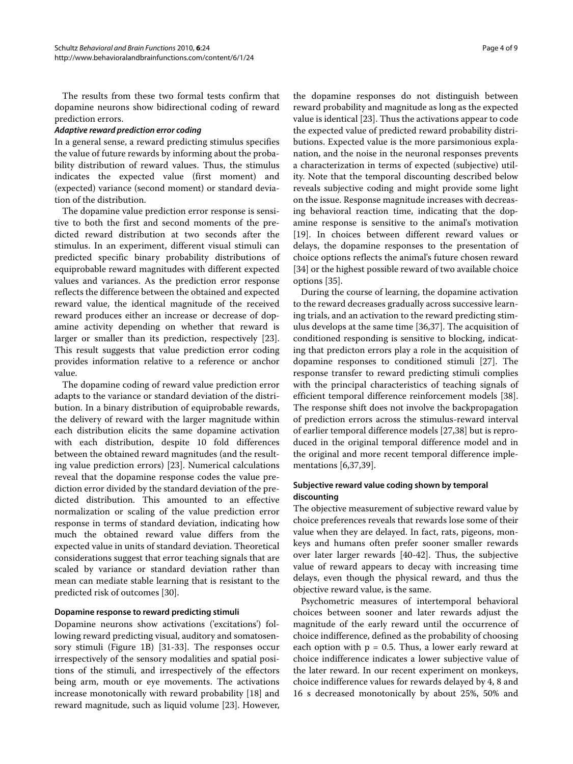The results from these two formal tests confirm that dopamine neurons show bidirectional coding of reward prediction errors.

# **Adaptive reward prediction error coding**

In a general sense, a reward predicting stimulus specifies the value of future rewards by informing about the probability distribution of reward values. Thus, the stimulus indicates the expected value (first moment) and (expected) variance (second moment) or standard deviation of the distribution.

The dopamine value prediction error response is sensitive to both the first and second moments of the predicted reward distribution at two seconds after the stimulus. In an experiment, different visual stimuli can predicted specific binary probability distributions of equiprobable reward magnitudes with different expected values and variances. As the prediction error response reflects the difference between the obtained and expected reward value, the identical magnitude of the received reward produces either an increase or decrease of dopamine activity depending on whether that reward is larger or smaller than its prediction, respectively [\[23](#page-7-12)]. This result suggests that value prediction error coding provides information relative to a reference or anchor value.

The dopamine coding of reward value prediction error adapts to the variance or standard deviation of the distribution. In a binary distribution of equiprobable rewards, the delivery of reward with the larger magnitude within each distribution elicits the same dopamine activation with each distribution, despite 10 fold differences between the obtained reward magnitudes (and the resulting value prediction errors) [[23\]](#page-7-12). Numerical calculations reveal that the dopamine response codes the value prediction error divided by the standard deviation of the predicted distribution. This amounted to an effective normalization or scaling of the value prediction error response in terms of standard deviation, indicating how much the obtained reward value differs from the expected value in units of standard deviation. Theoretical considerations suggest that error teaching signals that are scaled by variance or standard deviation rather than mean can mediate stable learning that is resistant to the predicted risk of outcomes [[30\]](#page-8-6).

# **Dopamine response to reward predicting stimuli**

Dopamine neurons show activations ('excitations') following reward predicting visual, auditory and somatosensory stimuli (Figure [1B](#page-2-0)) [[31](#page-8-2)[-33](#page-8-3)]. The responses occur irrespectively of the sensory modalities and spatial positions of the stimuli, and irrespectively of the effectors being arm, mouth or eye movements. The activations increase monotonically with reward probability [\[18](#page-7-13)] and reward magnitude, such as liquid volume [[23\]](#page-7-12). However,

the dopamine responses do not distinguish between reward probability and magnitude as long as the expected value is identical [\[23](#page-7-12)]. Thus the activations appear to code the expected value of predicted reward probability distributions. Expected value is the more parsimonious explanation, and the noise in the neuronal responses prevents a characterization in terms of expected (subjective) utility. Note that the temporal discounting described below reveals subjective coding and might provide some light on the issue. Response magnitude increases with decreasing behavioral reaction time, indicating that the dopamine response is sensitive to the animal's motivation [[19\]](#page-7-17). In choices between different reward values or delays, the dopamine responses to the presentation of choice options reflects the animal's future chosen reward [[34\]](#page-8-7) or the highest possible reward of two available choice options [[35\]](#page-8-8).

During the course of learning, the dopamine activation to the reward decreases gradually across successive learning trials, and an activation to the reward predicting stimulus develops at the same time [[36,](#page-8-9)[37\]](#page-8-10). The acquisition of conditioned responding is sensitive to blocking, indicating that predicton errors play a role in the acquisition of dopamine responses to conditioned stimuli [[27\]](#page-7-16). The response transfer to reward predicting stimuli complies with the principal characteristics of teaching signals of efficient temporal difference reinforcement models [\[38](#page-8-11)]. The response shift does not involve the backpropagation of prediction errors across the stimulus-reward interval of earlier temporal difference models [[27](#page-7-16),[38\]](#page-8-11) but is reproduced in the original temporal difference model and in the original and more recent temporal difference implementations [\[6](#page-7-5)[,37](#page-8-10)[,39](#page-8-12)].

# **Subjective reward value coding shown by temporal discounting**

The objective measurement of subjective reward value by choice preferences reveals that rewards lose some of their value when they are delayed. In fact, rats, pigeons, monkeys and humans often prefer sooner smaller rewards over later larger rewards [[40-](#page-8-13)[42](#page-8-14)]. Thus, the subjective value of reward appears to decay with increasing time delays, even though the physical reward, and thus the objective reward value, is the same.

Psychometric measures of intertemporal behavioral choices between sooner and later rewards adjust the magnitude of the early reward until the occurrence of choice indifference, defined as the probability of choosing each option with  $p = 0.5$ . Thus, a lower early reward at choice indifference indicates a lower subjective value of the later reward. In our recent experiment on monkeys, choice indifference values for rewards delayed by 4, 8 and 16 s decreased monotonically by about 25%, 50% and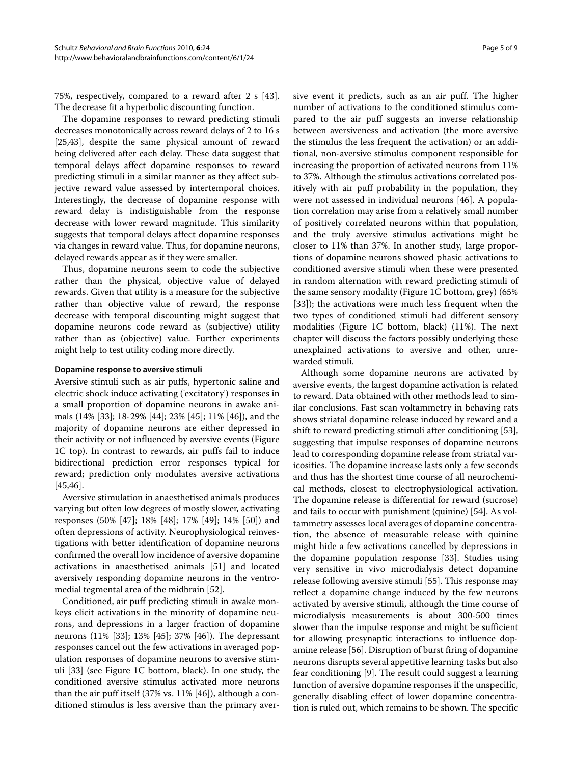75%, respectively, compared to a reward after 2 s [\[43](#page-8-4)]. The decrease fit a hyperbolic discounting function.

The dopamine responses to reward predicting stimuli decreases monotonically across reward delays of 2 to 16 s [[25,](#page-7-14)[43\]](#page-8-4), despite the same physical amount of reward being delivered after each delay. These data suggest that temporal delays affect dopamine responses to reward predicting stimuli in a similar manner as they affect subjective reward value assessed by intertemporal choices. Interestingly, the decrease of dopamine response with reward delay is indistiguishable from the response decrease with lower reward magnitude. This similarity suggests that temporal delays affect dopamine responses via changes in reward value. Thus, for dopamine neurons, delayed rewards appear as if they were smaller.

Thus, dopamine neurons seem to code the subjective rather than the physical, objective value of delayed rewards. Given that utility is a measure for the subjective rather than objective value of reward, the response decrease with temporal discounting might suggest that dopamine neurons code reward as (subjective) utility rather than as (objective) value. Further experiments might help to test utility coding more directly.

### **Dopamine response to aversive stimuli**

Aversive stimuli such as air puffs, hypertonic saline and electric shock induce activating ('excitatory') responses in a small proportion of dopamine neurons in awake animals (14% [\[33\]](#page-8-3); 18-29% [[44\]](#page-8-15); 23% [\[45](#page-8-16)]; 11% [[46](#page-8-17)]), and the majority of dopamine neurons are either depressed in their activity or not influenced by aversive events (Figure [1C](#page-2-0) top). In contrast to rewards, air puffs fail to induce bidirectional prediction error responses typical for reward; prediction only modulates aversive activations [[45,](#page-8-16)[46\]](#page-8-17).

Aversive stimulation in anaesthetised animals produces varying but often low degrees of mostly slower, activating responses (50% [\[47](#page-8-18)]; 18% [\[48\]](#page-8-19); 17% [[49\]](#page-8-20); 14% [\[50](#page-8-21)]) and often depressions of activity. Neurophysiological reinvestigations with better identification of dopamine neurons confirmed the overall low incidence of aversive dopamine activations in anaesthetised animals [\[51](#page-8-22)] and located aversively responding dopamine neurons in the ventromedial tegmental area of the midbrain [\[52\]](#page-8-23).

Conditioned, air puff predicting stimuli in awake monkeys elicit activations in the minority of dopamine neurons, and depressions in a larger fraction of dopamine neurons (11% [\[33](#page-8-3)]; 13% [\[45](#page-8-16)]; 37% [[46\]](#page-8-17)). The depressant responses cancel out the few activations in averaged population responses of dopamine neurons to aversive stimuli [[33\]](#page-8-3) (see Figure [1C](#page-2-0) bottom, black). In one study, the conditioned aversive stimulus activated more neurons than the air puff itself (37% vs. 11% [[46](#page-8-17)]), although a conditioned stimulus is less aversive than the primary aver-

sive event it predicts, such as an air puff. The higher number of activations to the conditioned stimulus compared to the air puff suggests an inverse relationship between aversiveness and activation (the more aversive the stimulus the less frequent the activation) or an additional, non-aversive stimulus component responsible for increasing the proportion of activated neurons from 11% to 37%. Although the stimulus activations correlated positively with air puff probability in the population, they were not assessed in individual neurons [[46\]](#page-8-17). A population correlation may arise from a relatively small number of positively correlated neurons within that population, and the truly aversive stimulus activations might be closer to 11% than 37%. In another study, large proportions of dopamine neurons showed phasic activations to conditioned aversive stimuli when these were presented in random alternation with reward predicting stimuli of the same sensory modality (Figure [1C](#page-2-0) bottom, grey) (65% [[33\]](#page-8-3)); the activations were much less frequent when the two types of conditioned stimuli had different sensory modalities (Figure [1C](#page-2-0) bottom, black) (11%). The next chapter will discuss the factors possibly underlying these unexplained activations to aversive and other, unrewarded stimuli.

Although some dopamine neurons are activated by aversive events, the largest dopamine activation is related to reward. Data obtained with other methods lead to similar conclusions. Fast scan voltammetry in behaving rats shows striatal dopamine release induced by reward and a shift to reward predicting stimuli after conditioning [\[53](#page-8-24)], suggesting that impulse responses of dopamine neurons lead to corresponding dopamine release from striatal varicosities. The dopamine increase lasts only a few seconds and thus has the shortest time course of all neurochemical methods, closest to electrophysiological activation. The dopamine release is differential for reward (sucrose) and fails to occur with punishment (quinine) [\[54\]](#page-8-25). As voltammetry assesses local averages of dopamine concentration, the absence of measurable release with quinine might hide a few activations cancelled by depressions in the dopamine population response [\[33\]](#page-8-3). Studies using very sensitive in vivo microdialysis detect dopamine release following aversive stimuli [\[55](#page-8-26)]. This response may reflect a dopamine change induced by the few neurons activated by aversive stimuli, although the time course of microdialysis measurements is about 300-500 times slower than the impulse response and might be sufficient for allowing presynaptic interactions to influence dopamine release [\[56](#page-8-27)]. Disruption of burst firing of dopamine neurons disrupts several appetitive learning tasks but also fear conditioning [\[9](#page-7-9)]. The result could suggest a learning function of aversive dopamine responses if the unspecific, generally disabling effect of lower dopamine concentration is ruled out, which remains to be shown. The specific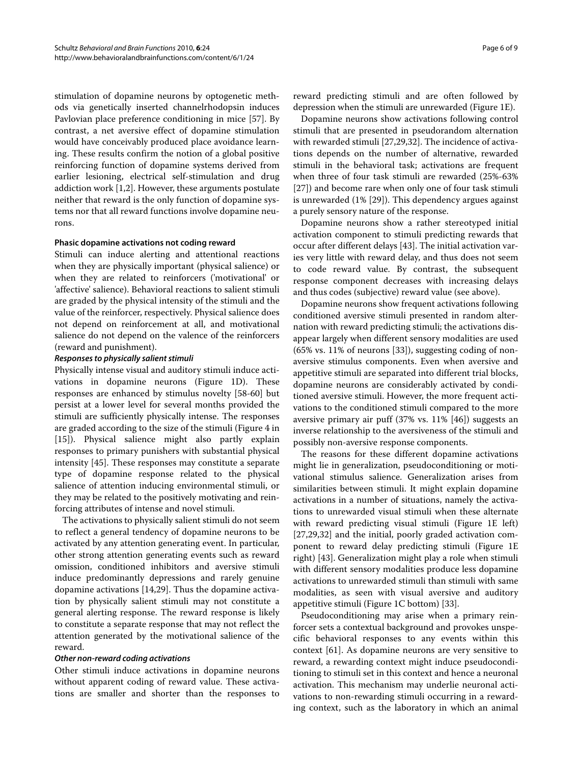stimulation of dopamine neurons by optogenetic methods via genetically inserted channelrhodopsin induces Pavlovian place preference conditioning in mice [[57\]](#page-8-28). By contrast, a net aversive effect of dopamine stimulation would have conceivably produced place avoidance learning. These results confirm the notion of a global positive reinforcing function of dopamine systems derived from earlier lesioning, electrical self-stimulation and drug addiction work [\[1](#page-7-0),[2\]](#page-7-1). However, these arguments postulate neither that reward is the only function of dopamine systems nor that all reward functions involve dopamine neurons.

# **Phasic dopamine activations not coding reward**

Stimuli can induce alerting and attentional reactions when they are physically important (physical salience) or when they are related to reinforcers ('motivational' or 'affective' salience). Behavioral reactions to salient stimuli are graded by the physical intensity of the stimuli and the value of the reinforcer, respectively. Physical salience does not depend on reinforcement at all, and motivational salience do not depend on the valence of the reinforcers (reward and punishment).

#### **Responses to physically salient stimuli**

Physically intense visual and auditory stimuli induce activations in dopamine neurons (Figure [1D](#page-2-0)). These responses are enhanced by stimulus novelty [[58-](#page-8-29)[60](#page-8-30)] but persist at a lower level for several months provided the stimuli are sufficiently physically intense. The responses are graded according to the size of the stimuli (Figure 4 in [[15\]](#page-7-18)). Physical salience might also partly explain responses to primary punishers with substantial physical intensity [[45\]](#page-8-16). These responses may constitute a separate type of dopamine response related to the physical salience of attention inducing environmental stimuli, or they may be related to the positively motivating and reinforcing attributes of intense and novel stimuli.

The activations to physically salient stimuli do not seem to reflect a general tendency of dopamine neurons to be activated by any attention generating event. In particular, other strong attention generating events such as reward omission, conditioned inhibitors and aversive stimuli induce predominantly depressions and rarely genuine dopamine activations [\[14](#page-7-19)[,29](#page-8-1)]. Thus the dopamine activation by physically salient stimuli may not constitute a general alerting response. The reward response is likely to constitute a separate response that may not reflect the attention generated by the motivational salience of the reward.

#### **Other non-reward coding activations**

Other stimuli induce activations in dopamine neurons without apparent coding of reward value. These activations are smaller and shorter than the responses to

reward predicting stimuli and are often followed by depression when the stimuli are unrewarded (Figure [1E](#page-2-0)).

Dopamine neurons show activations following control stimuli that are presented in pseudorandom alternation with rewarded stimuli [[27](#page-7-16),[29](#page-8-1),[32\]](#page-8-31). The incidence of activations depends on the number of alternative, rewarded stimuli in the behavioral task; activations are frequent when three of four task stimuli are rewarded (25%-63% [[27\]](#page-7-16)) and become rare when only one of four task stimuli is unrewarded (1% [[29](#page-8-1)]). This dependency argues against a purely sensory nature of the response.

Dopamine neurons show a rather stereotyped initial activation component to stimuli predicting rewards that occur after different delays [\[43](#page-8-4)]. The initial activation varies very little with reward delay, and thus does not seem to code reward value. By contrast, the subsequent response component decreases with increasing delays and thus codes (subjective) reward value (see above).

Dopamine neurons show frequent activations following conditioned aversive stimuli presented in random alternation with reward predicting stimuli; the activations disappear largely when different sensory modalities are used (65% vs. 11% of neurons [[33\]](#page-8-3)), suggesting coding of nonaversive stimulus components. Even when aversive and appetitive stimuli are separated into different trial blocks, dopamine neurons are considerably activated by conditioned aversive stimuli. However, the more frequent activations to the conditioned stimuli compared to the more aversive primary air puff (37% vs. 11% [[46\]](#page-8-17)) suggests an inverse relationship to the aversiveness of the stimuli and possibly non-aversive response components.

The reasons for these different dopamine activations might lie in generalization, pseudoconditioning or motivational stimulus salience. Generalization arises from similarities between stimuli. It might explain dopamine activations in a number of situations, namely the activations to unrewarded visual stimuli when these alternate with reward predicting visual stimuli (Figure [1](#page-2-0)E left) [[27,](#page-7-16)[29,](#page-8-1)[32\]](#page-8-31) and the initial, poorly graded activation component to reward delay predicting stimuli (Figure [1](#page-2-0)E right) [\[43](#page-8-4)]. Generalization might play a role when stimuli with different sensory modalities produce less dopamine activations to unrewarded stimuli than stimuli with same modalities, as seen with visual aversive and auditory appetitive stimuli (Figure [1](#page-2-0)C bottom) [\[33\]](#page-8-3).

Pseudoconditioning may arise when a primary reinforcer sets a contextual background and provokes unspecific behavioral responses to any events within this context [[61](#page-8-32)]. As dopamine neurons are very sensitive to reward, a rewarding context might induce pseudoconditioning to stimuli set in this context and hence a neuronal activation. This mechanism may underlie neuronal activations to non-rewarding stimuli occurring in a rewarding context, such as the laboratory in which an animal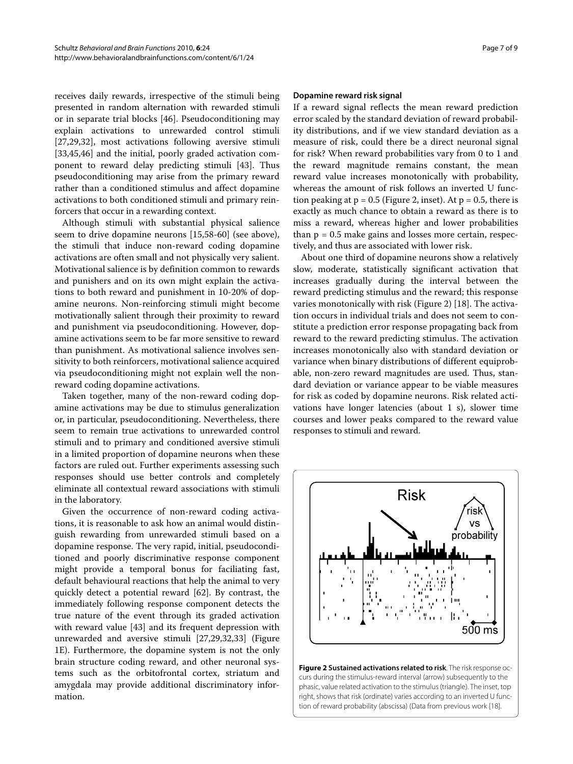receives daily rewards, irrespective of the stimuli being presented in random alternation with rewarded stimuli or in separate trial blocks [[46\]](#page-8-17). Pseudoconditioning may explain activations to unrewarded control stimuli [[27,](#page-7-16)[29,](#page-8-1)[32\]](#page-8-31), most activations following aversive stimuli [[33,](#page-8-3)[45,](#page-8-16)[46\]](#page-8-17) and the initial, poorly graded activation component to reward delay predicting stimuli [\[43\]](#page-8-4). Thus pseudoconditioning may arise from the primary reward rather than a conditioned stimulus and affect dopamine activations to both conditioned stimuli and primary reinforcers that occur in a rewarding context.

Although stimuli with substantial physical salience seem to drive dopamine neurons [\[15](#page-7-18)[,58](#page-8-29)-[60\]](#page-8-30) (see above), the stimuli that induce non-reward coding dopamine activations are often small and not physically very salient. Motivational salience is by definition common to rewards and punishers and on its own might explain the activations to both reward and punishment in 10-20% of dopamine neurons. Non-reinforcing stimuli might become motivationally salient through their proximity to reward and punishment via pseudoconditioning. However, dopamine activations seem to be far more sensitive to reward than punishment. As motivational salience involves sensitivity to both reinforcers, motivational salience acquired via pseudoconditioning might not explain well the nonreward coding dopamine activations.

Taken together, many of the non-reward coding dopamine activations may be due to stimulus generalization or, in particular, pseudoconditioning. Nevertheless, there seem to remain true activations to unrewarded control stimuli and to primary and conditioned aversive stimuli in a limited proportion of dopamine neurons when these factors are ruled out. Further experiments assessing such responses should use better controls and completely eliminate all contextual reward associations with stimuli in the laboratory.

Given the occurrence of non-reward coding activations, it is reasonable to ask how an animal would distinguish rewarding from unrewarded stimuli based on a dopamine response. The very rapid, initial, pseudoconditioned and poorly discriminative response component might provide a temporal bonus for faciliating fast, default behavioural reactions that help the animal to very quickly detect a potential reward [\[62](#page-8-33)]. By contrast, the immediately following response component detects the true nature of the event through its graded activation with reward value [\[43](#page-8-4)] and its frequent depression with unrewarded and aversive stimuli [[27,](#page-7-16)[29,](#page-8-1)[32,](#page-8-31)[33\]](#page-8-3) (Figure [1E](#page-2-0)). Furthermore, the dopamine system is not the only brain structure coding reward, and other neuronal systems such as the orbitofrontal cortex, striatum and amygdala may provide additional discriminatory information.

#### **Dopamine reward risk signal**

If a reward signal reflects the mean reward prediction error scaled by the standard deviation of reward probability distributions, and if we view standard deviation as a measure of risk, could there be a direct neuronal signal for risk? When reward probabilities vary from 0 to 1 and the reward magnitude remains constant, the mean reward value increases monotonically with probability, whereas the amount of risk follows an inverted U function peaking at  $p = 0.5$  (Figure [2](#page-6-0), inset). At  $p = 0.5$ , there is exactly as much chance to obtain a reward as there is to miss a reward, whereas higher and lower probabilities than  $p = 0.5$  make gains and losses more certain, respectively, and thus are associated with lower risk.

About one third of dopamine neurons show a relatively slow, moderate, statistically significant activation that increases gradually during the interval between the reward predicting stimulus and the reward; this response varies monotonically with risk (Figure [2](#page-6-0)) [[18\]](#page-7-13). The activation occurs in individual trials and does not seem to constitute a prediction error response propagating back from reward to the reward predicting stimulus. The activation increases monotonically also with standard deviation or variance when binary distributions of different equiprobable, non-zero reward magnitudes are used. Thus, standard deviation or variance appear to be viable measures for risk as coded by dopamine neurons. Risk related activations have longer latencies (about 1 s), slower time courses and lower peaks compared to the reward value responses to stimuli and reward.

<span id="page-6-0"></span>

**Figure 2 Sustained activations related to risk**. The risk response occurs during the stimulus-reward interval (arrow) subsequently to the phasic, value related activation to the stimulus (triangle). The inset, top right, shows that risk (ordinate) varies according to an inverted U function of reward probability (abscissa) (Data from previous work [\[18\]](#page-7-13).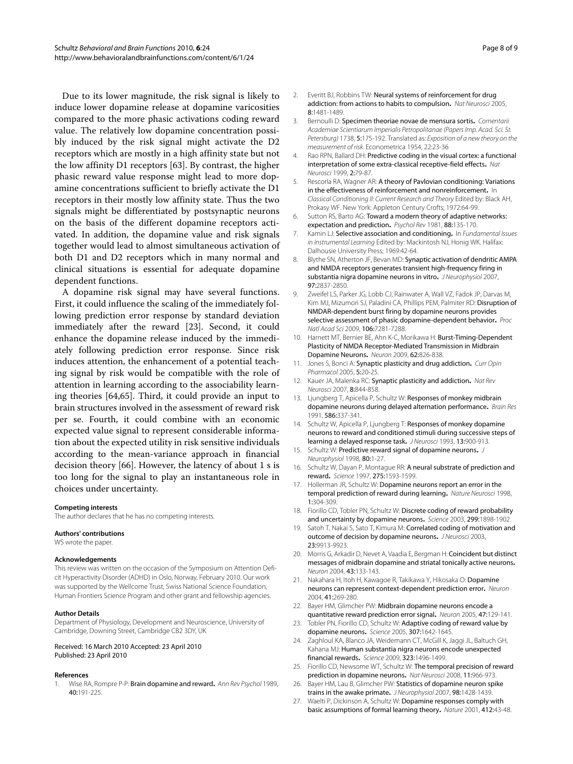Due to its lower magnitude, the risk signal is likely to induce lower dopamine release at dopamine varicosities compared to the more phasic activations coding reward value. The relatively low dopamine concentration possibly induced by the risk signal might activate the D2 receptors which are mostly in a high affinity state but not the low affinity D1 receptors [\[63](#page-8-34)]. By contrast, the higher phasic reward value response might lead to more dopamine concentrations sufficient to briefly activate the D1 receptors in their mostly low affinity state. Thus the two signals might be differentiated by postsynaptic neurons on the basis of the different dopamine receptors activated. In addition, the dopamine value and risk signals together would lead to almost simultaneous activation of both D1 and D2 receptors which in many normal and clinical situations is essential for adequate dopamine dependent functions.

A dopamine risk signal may have several functions. First, it could influence the scaling of the immediately following prediction error response by standard deviation immediately after the reward [[23\]](#page-7-12). Second, it could enhance the dopamine release induced by the immediately following prediction error response. Since risk induces attention, the enhancement of a potential teaching signal by risk would be compatible with the role of attention in learning according to the associability learning theories [[64,](#page-8-35)[65\]](#page-8-36). Third, it could provide an input to brain structures involved in the assessment of reward risk per se. Fourth, it could combine with an economic expected value signal to represent considerable information about the expected utility in risk sensitive individuals according to the mean-variance approach in financial decision theory [\[66\]](#page-8-37). However, the latency of about 1 s is too long for the signal to play an instantaneous role in choices under uncertainty.

#### **Competing interests**

The author declares that he has no competing interests.

#### **Authors' contributions**

WS wrote the paper.

#### **Acknowledgements**

This review was written on the occasion of the Symposium on Attention Deficit Hyperactivity Disorder (ADHD) in Oslo, Norway, February 2010. Our work was supported by the Wellcome Trust, Swiss National Science Foundation, Human Frontiers Science Program and other grant and fellowship agencies.

#### **Author Details**

Department of Physiology, Development and Neuroscience, University of Cambridge, Downing Street, Cambridge CB2 3DY, UK

#### Received: 16 March 2010 Accepted: 23 April 2010 Published: 23 April 2010

#### **References**

<span id="page-7-0"></span>1. Wise RA, Rompre P-P: Brain dopamine and reward**.** Ann Rev Psychol 1989, 40:191-225.

Page 8 of 9

- <span id="page-7-1"></span>2. Everitt BJ, Robbins TW: **Neural systems of reinforcement for drug** addiction: from actions to habits to compulsion**.** Nat Neurosci 2005, 8:1481-1489.
- <span id="page-7-2"></span>3. Bernoulli D: Specimen theoriae novae de mensura sortis**.** Comentarii Academiae Scientiarum Imperialis Petropolitanae (Papers Imp. Acad. Sci. St. Petersburg) 1738, 5:175-192. Translated as: Exposition of a new theory on the measurement of risk. Econometrica 1954, 22:23-36
- <span id="page-7-3"></span>4. Rao RPN, Ballard DH: Predictive coding in the visual cortex: a functional interpretation of some extra-classical receptive-field effects**.** Nat Neurosci 1999, 2:79-87.
- <span id="page-7-4"></span>5. Rescorla RA, Wagner AR: A theory of Pavlovian conditioning: Variations in the effectiveness of reinforcement and nonreinforcement**.** In Classical Conditioning II: Current Research and Theory Edited by: Black AH, Prokasy WF. New York: Appleton Century Crofts; 1972:64-99.
- <span id="page-7-5"></span>6. Sutton RS, Barto AG: Toward a modern theory of adaptive networks: expectation and prediction**[.](http://www.ncbi.nlm.nih.gov/entrez/query.fcgi?cmd=Retrieve&db=PubMed&dopt=Abstract&list_uids=7291377)** Psychol Rev 1981, 88:135-170.
- <span id="page-7-6"></span>7. Kamin LJ: Selective association and conditioning. In Fundamental Issues in Instrumental Learning Edited by: Mackintosh NJ, Honig WK. Halifax: Dalhousie University Press; 1969:42-64.
- <span id="page-7-7"></span>8. Blythe SN, Atherton JF, Bevan MD: Synaptic activation of dendritic AMPA and NMDA receptors generates transient high-frequency firing in substantia nigra dopamine neurons in vitro**.** J Neurophysiol 2007, 97:2837-2850.
- <span id="page-7-9"></span>9. Zweifel LS, Parker JG, Lobb CJ, Rainwater A, Wall VZ, Fadok JP, Darvas M, Kim MJ, Mizumori SJ, Paladini CA, Phillips PEM, Palmiter RD: Disruption of NMDAR-dependent burst firing by dopamine neurons provides selective assessment of phasic dopamine-dependent behavior. Proc Natl Acad Sci 2009, 106:7281-7288.
- 10. Harnett MT, Bernier BE, Ahn K-C, Morikawa H: Burst-Timing-Dependent Plasticity of NMDA Receptor-Mediated Transmission in Midbrain Dopamine Neurons**.** Neuron 2009, 62:826-838.
- 11[.](http://www.ncbi.nlm.nih.gov/entrez/query.fcgi?cmd=Retrieve&db=PubMed&dopt=Abstract&list_uids=15661621) Jones S, Bonci A: Synaptic plasticity and drug addiction. Curr Opin Pharmacol 2005, 5:20-25.
- <span id="page-7-8"></span>12. Kauer JA, Malenka RC: Synaptic plasticity and addiction**.** Nat Rev Neurosci 2007, 8:844-858.
- <span id="page-7-10"></span>13. Ljungberg T, Apicella P, Schultz W: Responses of monkey midbrain dopamine neurons during delayed alternation performance**.** Brain Res 1991, 586:337-341.
- <span id="page-7-19"></span>14. Schultz W, Apicella P, Ljungberg T: Responses of monkey dopamine neurons to reward and conditioned stimuli during successive steps of learning a delayed response task**.** J Neurosci 1993, 13:900-913.
- <span id="page-7-18"></span>15. Schultz W: Predictive reward signal of dopamine neurons**[.](http://www.ncbi.nlm.nih.gov/entrez/query.fcgi?cmd=Retrieve&db=PubMed&dopt=Abstract&list_uids=9658025)** J Neurophysiol 1998, 80:1-27.
- 16. Schultz W, Dayan P, Montague RR: A neural substrate of prediction and reward**.** Science 1997, 275:1593-1599.
- 17. Hollerman JR, Schultz W: Dopamine neurons report an error in the temporal prediction of reward during learning**.** Nature Neurosci 1998, 1:304-309.
- <span id="page-7-13"></span>18. Fiorillo CD, Tobler PN, Schultz W: Discrete coding of reward probability and uncertainty by dopamine neurons**.** Science 2003, 299:1898-1902.
- <span id="page-7-17"></span>19. Satoh T, Nakai S, Sato T, Kimura M: Correlated coding of motivation and outcome of decision by dopamine neurons**.** J Neurosci 2003, 23:9913-9923.
- 20. Morris G, Arkadir D, Nevet A, Vaadia E, Bergman H: Coincident but distinct messages of midbrain dopamine and striatal tonically active neurons**[.](http://www.ncbi.nlm.nih.gov/entrez/query.fcgi?cmd=Retrieve&db=PubMed&dopt=Abstract&list_uids=15233923)** Neuron 2004, 43:133-143.
- 21. Nakahara H, Itoh H, Kawagoe R, Takikawa Y, Hikosaka O: Dopamine neurons can represent context-dependent prediction error**.** Neuron 2004, 41:269-280.
- 22. Bayer HM, Glimcher PW: Midbrain dopamine neurons encode a quantitative reward prediction error signal**.** Neuron 2005, 47:129-141.
- <span id="page-7-12"></span>23. Tobler PN, Fiorillo CD, Schultz W: Adaptive coding of reward value by dopamine neurons**.** Science 2005, 307:1642-1645.
- <span id="page-7-11"></span>24. Zaghloul KA, Blanco JA, Weidemann CT, McGill K, Jaggi JL, Baltuch GH, Kahana MJ: Human substantia nigra neurons encode unexpected financial rewards**[.](http://www.ncbi.nlm.nih.gov/entrez/query.fcgi?cmd=Retrieve&db=PubMed&dopt=Abstract&list_uids=19286561)** Science 2009, 323:1496-1499.
- <span id="page-7-14"></span>25. Fiorillo CD, Newsome WT, Schultz W: The temporal precision of reward prediction in dopamine neurons**.** Nat Neurosci 2008, 11:966-973.
- <span id="page-7-15"></span>26. Bayer HM, Lau B, Glimcher PW: Statistics of dopamine neuron spike trains in the awake primate**.** J Neurophysiol 2007, 98:1428-1439.
- <span id="page-7-16"></span>27. Waelti P, Dickinson A, Schultz W: Dopamine responses comply with basic assumptions of formal learning theory**[.](http://www.ncbi.nlm.nih.gov/entrez/query.fcgi?cmd=Retrieve&db=PubMed&dopt=Abstract&list_uids=11452299)** Nature 2001, 412:43-48.